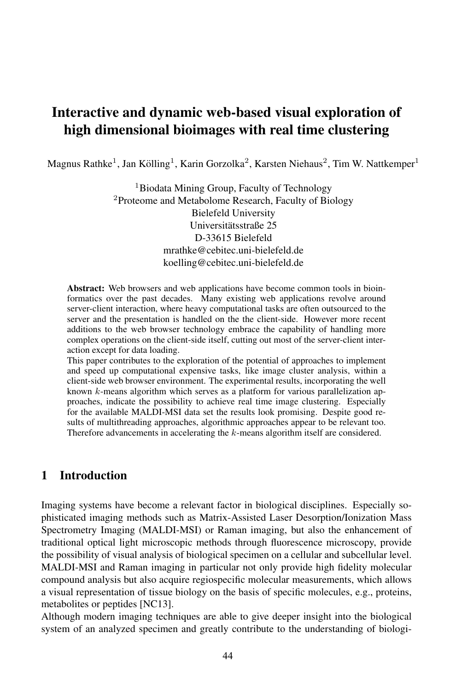# Interactive and dynamic web-based visual exploration of high dimensional bioimages with real time clustering

Magnus Rathke $^1$ , Jan Kölling $^1$ , Karin Gorzolka $^2$ , Karsten Niehaus $^2$ , Tim W. Nattkemper $^1$ 

<sup>1</sup>Biodata Mining Group, Faculty of Technology <sup>2</sup>Proteome and Metabolome Research, Faculty of Biology Bielefeld University Universitatsstraße 25 ¨ D-33615 Bielefeld mrathke@cebitec.uni-bielefeld.de koelling@cebitec.uni-bielefeld.de

Abstract: Web browsers and web applications have become common tools in bioinformatics over the past decades. Many existing web applications revolve around server-client interaction, where heavy computational tasks are often outsourced to the server and the presentation is handled on the the client-side. However more recent additions to the web browser technology embrace the capability of handling more complex operations on the client-side itself, cutting out most of the server-client interaction except for data loading.

This paper contributes to the exploration of the potential of approaches to implement and speed up computational expensive tasks, like image cluster analysis, within a client-side web browser environment. The experimental results, incorporating the well known  $k$ -means algorithm which serves as a platform for various parallelization approaches, indicate the possibility to achieve real time image clustering. Especially for the available MALDI-MSI data set the results look promising. Despite good results of multithreading approaches, algorithmic approaches appear to be relevant too. Therefore advancements in accelerating the k-means algorithm itself are considered.

## 1 Introduction

Imaging systems have become a relevant factor in biological disciplines. Especially sophisticated imaging methods such as Matrix-Assisted Laser Desorption/Ionization Mass Spectrometry Imaging (MALDI-MSI) or Raman imaging, but also the enhancement of traditional optical light microscopic methods through fluorescence microscopy, provide the possibility of visual analysis of biological specimen on a cellular and subcellular level. MALDI-MSI and Raman imaging in particular not only provide high fidelity molecular compound analysis but also acquire regiospecific molecular measurements, which allows a visual representation of tissue biology on the basis of specific molecules, e.g., proteins, metabolites or peptides [NC13].

Although modern imaging techniques are able to give deeper insight into the biological system of an analyzed specimen and greatly contribute to the understanding of biologi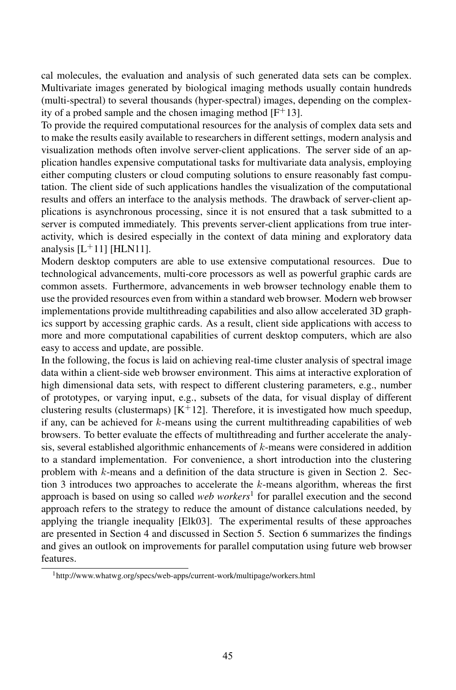cal molecules, the evaluation and analysis of such generated data sets can be complex. Multivariate images generated by biological imaging methods usually contain hundreds (multi-spectral) to several thousands (hyper-spectral) images, depending on the complexity of a probed sample and the chosen imaging method  $[F^+13]$ .

To provide the required computational resources for the analysis of complex data sets and to make the results easily available to researchers in different settings, modern analysis and visualization methods often involve server-client applications. The server side of an application handles expensive computational tasks for multivariate data analysis, employing either computing clusters or cloud computing solutions to ensure reasonably fast computation. The client side of such applications handles the visualization of the computational results and offers an interface to the analysis methods. The drawback of server-client applications is asynchronous processing, since it is not ensured that a task submitted to a server is computed immediately. This prevents server-client applications from true interactivity, which is desired especially in the context of data mining and exploratory data analysis  $[L^+11]$  [HLN11].

Modern desktop computers are able to use extensive computational resources. Due to technological advancements, multi-core processors as well as powerful graphic cards are common assets. Furthermore, advancements in web browser technology enable them to use the provided resources even from within a standard web browser. Modern web browser implementations provide multithreading capabilities and also allow accelerated 3D graphics support by accessing graphic cards. As a result, client side applications with access to more and more computational capabilities of current desktop computers, which are also easy to access and update, are possible.

In the following, the focus is laid on achieving real-time cluster analysis of spectral image data within a client-side web browser environment. This aims at interactive exploration of high dimensional data sets, with respect to different clustering parameters, e.g., number of prototypes, or varying input, e.g., subsets of the data, for visual display of different clustering results (clustermaps)  $[K^+12]$ . Therefore, it is investigated how much speedup, if any, can be achieved for  $k$ -means using the current multithreading capabilities of web browsers. To better evaluate the effects of multithreading and further accelerate the analysis, several established algorithmic enhancements of  $k$ -means were considered in addition to a standard implementation. For convenience, a short introduction into the clustering problem with k-means and a definition of the data structure is given in Section 2. Section 3 introduces two approaches to accelerate the  $k$ -means algorithm, whereas the first approach is based on using so called *web workers*<sup>1</sup> for parallel execution and the second approach refers to the strategy to reduce the amount of distance calculations needed, by applying the triangle inequality [Elk03]. The experimental results of these approaches are presented in Section 4 and discussed in Section 5. Section 6 summarizes the findings and gives an outlook on improvements for parallel computation using future web browser features.

<sup>1</sup>http://www.whatwg.org/specs/web-apps/current-work/multipage/workers.html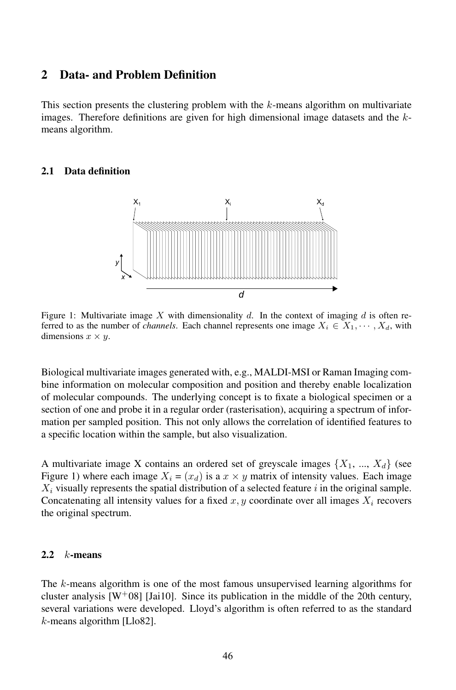### 2 Data- and Problem Definition

This section presents the clustering problem with the  $k$ -means algorithm on multivariate images. Therefore definitions are given for high dimensional image datasets and the  $k$ means algorithm.

#### 2.1 Data definition



Figure 1: Multivariate image X with dimensionality d. In the context of imaging d is often referred to as the number of *channels*. Each channel represents one image  $X_i \in X_1, \dots, X_d$ , with dimensions  $x \times y$ .

Biological multivariate images generated with, e.g., MALDI-MSI or Raman Imaging combine information on molecular composition and position and thereby enable localization of molecular compounds. The underlying concept is to fixate a biological specimen or a section of one and probe it in a regular order (rasterisation), acquiring a spectrum of information per sampled position. This not only allows the correlation of identified features to a specific location within the sample, but also visualization.

A multivariate image X contains an ordered set of greyscale images  $\{X_1, ..., X_d\}$  (see Figure 1) where each image  $X_i = (x_d)$  is a  $x \times y$  matrix of intensity values. Each image  $X_i$  visually represents the spatial distribution of a selected feature i in the original sample. Concatenating all intensity values for a fixed  $x, y$  coordinate over all images  $X_i$  recovers the original spectrum.

#### 2.2  $k$ -means

The k-means algorithm is one of the most famous unsupervised learning algorithms for cluster analysis  $[W^+08]$  [Jai10]. Since its publication in the middle of the 20th century, several variations were developed. Lloyd's algorithm is often referred to as the standard  $k$ -means algorithm [Llo82].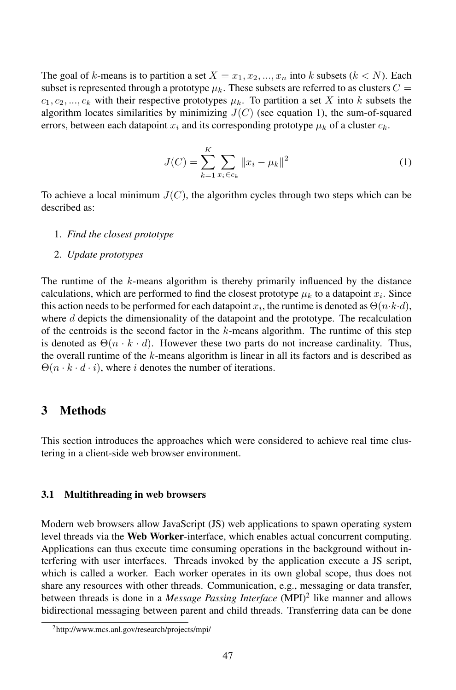The goal of k-means is to partition a set  $X = x_1, x_2, ..., x_n$  into k subsets  $(k < N)$ . Each subset is represented through a prototype  $\mu_k$ . These subsets are referred to as clusters  $C =$  $c_1, c_2, ..., c_k$  with their respective prototypes  $\mu_k$ . To partition a set X into k subsets the algorithm locates similarities by minimizing  $J(C)$  (see equation 1), the sum-of-squared errors, between each datapoint  $x_i$  and its corresponding prototype  $\mu_k$  of a cluster  $c_k$ .

$$
J(C) = \sum_{k=1}^{K} \sum_{x_i \in c_k} ||x_i - \mu_k||^2
$$
 (1)

To achieve a local minimum  $J(C)$ , the algorithm cycles through two steps which can be described as:

- 1. *Find the closest prototype*
- 2. *Update prototypes*

The runtime of the k-means algorithm is thereby primarily influenced by the distance calculations, which are performed to find the closest prototype  $\mu_k$  to a datapoint  $x_i$ . Since this action needs to be performed for each datapoint  $x_i$ , the runtime is denoted as  $\Theta(n \cdot k \cdot d)$ , where  $d$  depicts the dimensionality of the datapoint and the prototype. The recalculation of the centroids is the second factor in the  $k$ -means algorithm. The runtime of this step is denoted as  $\Theta(n \cdot k \cdot d)$ . However these two parts do not increase cardinality. Thus, the overall runtime of the  $k$ -means algorithm is linear in all its factors and is described as  $\Theta(n \cdot k \cdot d \cdot i)$ , where *i* denotes the number of iterations.

### 3 Methods

This section introduces the approaches which were considered to achieve real time clustering in a client-side web browser environment.

#### 3.1 Multithreading in web browsers

Modern web browsers allow JavaScript (JS) web applications to spawn operating system level threads via the Web Worker-interface, which enables actual concurrent computing. Applications can thus execute time consuming operations in the background without interfering with user interfaces. Threads invoked by the application execute a JS script, which is called a worker. Each worker operates in its own global scope, thus does not share any resources with other threads. Communication, e.g., messaging or data transfer, between threads is done in a *Message Passing Interface* (MPI)<sup>2</sup> like manner and allows bidirectional messaging between parent and child threads. Transferring data can be done

<sup>2</sup>http://www.mcs.anl.gov/research/projects/mpi/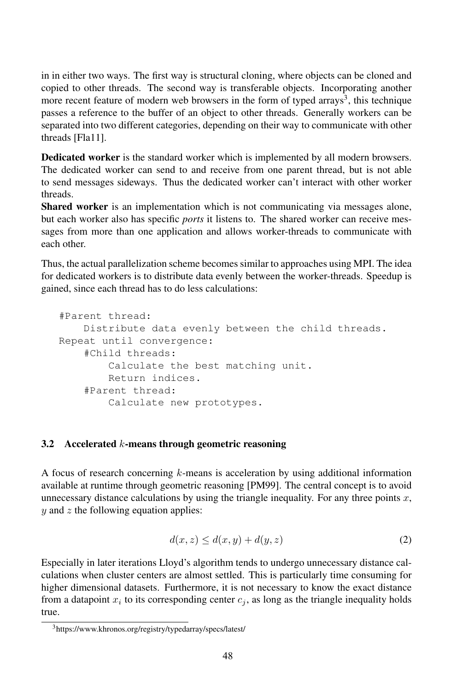in in either two ways. The first way is structural cloning, where objects can be cloned and copied to other threads. The second way is transferable objects. Incorporating another more recent feature of modern web browsers in the form of typed arrays<sup>3</sup>, this technique passes a reference to the buffer of an object to other threads. Generally workers can be separated into two different categories, depending on their way to communicate with other threads [Fla11].

Dedicated worker is the standard worker which is implemented by all modern browsers. The dedicated worker can send to and receive from one parent thread, but is not able to send messages sideways. Thus the dedicated worker can't interact with other worker threads.

Shared worker is an implementation which is not communicating via messages alone, but each worker also has specific *ports* it listens to. The shared worker can receive messages from more than one application and allows worker-threads to communicate with each other.

Thus, the actual parallelization scheme becomes similar to approaches using MPI. The idea for dedicated workers is to distribute data evenly between the worker-threads. Speedup is gained, since each thread has to do less calculations:

```
#Parent thread:
    Distribute data evenly between the child threads.
Repeat until convergence:
    #Child threads:
        Calculate the best matching unit.
        Return indices.
    #Parent thread:
        Calculate new prototypes.
```
#### 3.2 Accelerated  $k$ -means through geometric reasoning

A focus of research concerning  $k$ -means is acceleration by using additional information available at runtime through geometric reasoning [PM99]. The central concept is to avoid unnecessary distance calculations by using the triangle inequality. For any three points  $x$ ,  $y$  and  $z$  the following equation applies:

$$
d(x, z) \le d(x, y) + d(y, z) \tag{2}
$$

Especially in later iterations Lloyd's algorithm tends to undergo unnecessary distance calculations when cluster centers are almost settled. This is particularly time consuming for higher dimensional datasets. Furthermore, it is not necessary to know the exact distance from a datapoint  $x_i$  to its corresponding center  $c_j$ , as long as the triangle inequality holds true.

<sup>3</sup>https://www.khronos.org/registry/typedarray/specs/latest/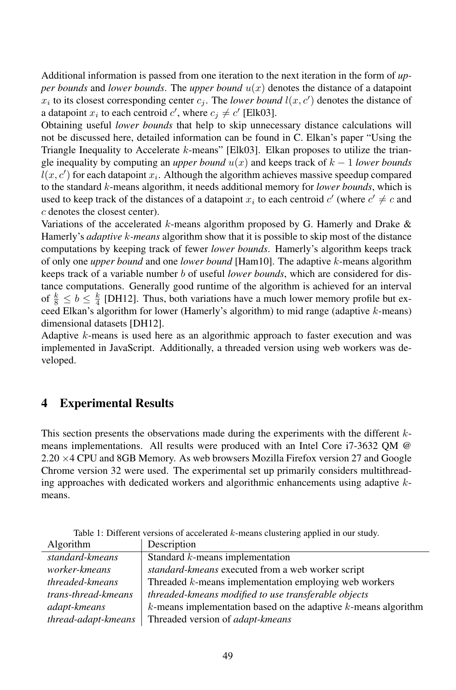Additional information is passed from one iteration to the next iteration in the form of *upper bounds* and *lower bounds*. The *upper bound*  $u(x)$  denotes the distance of a datapoint  $x_i$  to its closest corresponding center  $c_j$ . The *lower bound*  $l(x, c')$  denotes the distance of a datapoint  $x_i$  to each centroid  $c'$ , where  $c_j \neq c'$  [Elk03].

Obtaining useful *lower bounds* that help to skip unnecessary distance calculations will not be discussed here, detailed information can be found in C. Elkan's paper "Using the Triangle Inequality to Accelerate k-means" [Elk03]. Elkan proposes to utilize the triangle inequality by computing an *upper bound*  $u(x)$  and keeps track of  $k - 1$  *lower bounds*  $l(x, c')$  for each datapoint  $x_i$ . Although the algorithm achieves massive speedup compared to the standard k-means algorithm, it needs additional memory for *lower bounds*, which is used to keep track of the distances of a datapoint  $x_i$  to each centroid  $c'$  (where  $c' \neq c$  and c denotes the closest center).

Variations of the accelerated k-means algorithm proposed by G. Hamerly and Drake  $\&$ Hamerly's *adaptive* k*-means* algorithm show that it is possible to skip most of the distance computations by keeping track of fewer *lower bounds*. Hamerly's algorithm keeps track of only one *upper bound* and one *lower bound* [Ham10]. The adaptive k-means algorithm keeps track of a variable number b of useful *lower bounds*, which are considered for distance computations. Generally good runtime of the algorithm is achieved for an interval of  $\frac{k}{8} \le b \le \frac{k}{4}$  [DH12]. Thus, both variations have a much lower memory profile but exceed Elkan's algorithm for lower (Hamerly's algorithm) to mid range (adaptive k-means) dimensional datasets [DH12].

Adaptive k-means is used here as an algorithmic approach to faster execution and was implemented in JavaScript. Additionally, a threaded version using web workers was developed.

### 4 Experimental Results

This section presents the observations made during the experiments with the different  $k$ means implementations. All results were produced with an Intel Core i7-3632 QM @ 2.20 ×4 CPU and 8GB Memory. As web browsers Mozilla Firefox version 27 and Google Chrome version 32 were used. The experimental set up primarily considers multithreading approaches with dedicated workers and algorithmic enhancements using adaptive  $k$ means.

| Algorithm           | Description                                                          |
|---------------------|----------------------------------------------------------------------|
| standard-kmeans     | Standard $k$ -means implementation                                   |
| worker-kmeans       | standard-kmeans executed from a web worker script                    |
| threaded-kmeans     | Threaded $k$ -means implementation employing web workers             |
| trans-thread-kmeans | threaded-kmeans modified to use transferable objects                 |
| adapt-kmeans        | $k$ -means implementation based on the adaptive $k$ -means algorithm |
| thread-adapt-kmeans | Threaded version of adapt-kmeans                                     |

Table 1: Different versions of accelerated k-means clustering applied in our study.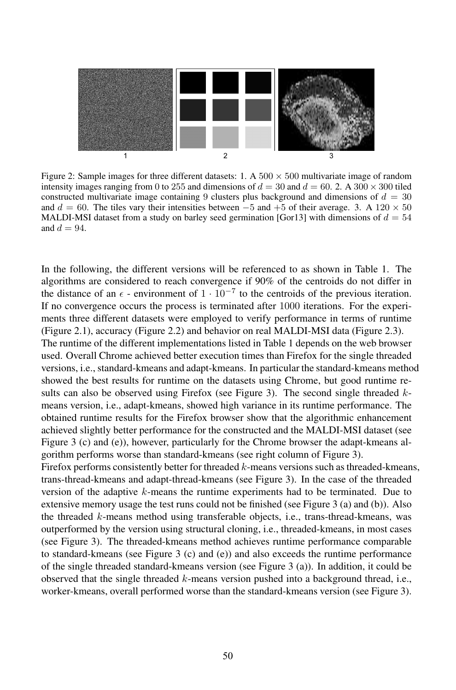

Figure 2: Sample images for three different datasets: 1. A  $500 \times 500$  multivariate image of random intensity images ranging from 0 to 255 and dimensions of  $d = 30$  and  $d = 60$ . 2. A 300  $\times$  300 tiled constructed multivariate image containing 9 clusters plus background and dimensions of  $d = 30$ and  $d = 60$ . The tiles vary their intensities between  $-5$  and  $+5$  of their average. 3. A 120  $\times$  50 MALDI-MSI dataset from a study on barley seed germination [Gor13] with dimensions of  $d = 54$ and  $d = 94$ .

In the following, the different versions will be referenced to as shown in Table 1. The algorithms are considered to reach convergence if 90% of the centroids do not differ in the distance of an  $\epsilon$  - environment of  $1 \cdot 10^{-7}$  to the centroids of the previous iteration. If no convergence occurs the process is terminated after 1000 iterations. For the experiments three different datasets were employed to verify performance in terms of runtime (Figure 2.1), accuracy (Figure 2.2) and behavior on real MALDI-MSI data (Figure 2.3). The runtime of the different implementations listed in Table 1 depends on the web browser used. Overall Chrome achieved better execution times than Firefox for the single threaded versions, i.e., standard-kmeans and adapt-kmeans. In particular the standard-kmeans method showed the best results for runtime on the datasets using Chrome, but good runtime results can also be observed using Firefox (see Figure 3). The second single threaded  $k$ means version, i.e., adapt-kmeans, showed high variance in its runtime performance. The obtained runtime results for the Firefox browser show that the algorithmic enhancement achieved slightly better performance for the constructed and the MALDI-MSI dataset (see Figure 3 (c) and (e)), however, particularly for the Chrome browser the adapt-kmeans algorithm performs worse than standard-kmeans (see right column of Figure 3).

Firefox performs consistently better for threaded k-means versions such as threaded-kmeans, trans-thread-kmeans and adapt-thread-kmeans (see Figure 3). In the case of the threaded version of the adaptive  $k$ -means the runtime experiments had to be terminated. Due to extensive memory usage the test runs could not be finished (see Figure 3 (a) and (b)). Also the threaded k-means method using transferable objects, i.e., trans-thread-kmeans, was outperformed by the version using structural cloning, i.e., threaded-kmeans, in most cases (see Figure 3). The threaded-kmeans method achieves runtime performance comparable to standard-kmeans (see Figure 3 (c) and (e)) and also exceeds the runtime performance of the single threaded standard-kmeans version (see Figure 3 (a)). In addition, it could be observed that the single threaded  $k$ -means version pushed into a background thread, i.e., worker-kmeans, overall performed worse than the standard-kmeans version (see Figure 3).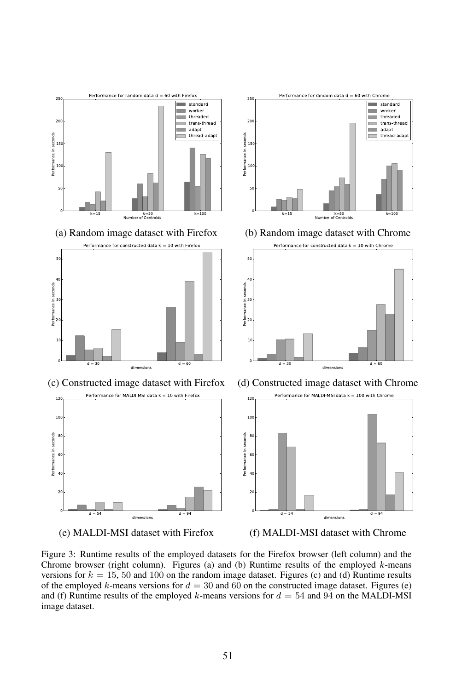



Figure 3: Runtime results of the employed datasets for the Firefox browser (left column) and the Chrome browser (right column). Figures (a) and (b) Runtime results of the employed  $k$ -means versions for  $k = 15, 50$  and 100 on the random image dataset. Figures (c) and (d) Runtime results of the employed k-means versions for  $d = 30$  and 60 on the constructed image dataset. Figures (e) and (f) Runtime results of the employed k-means versions for  $d = 54$  and 94 on the MALDI-MSI image dataset.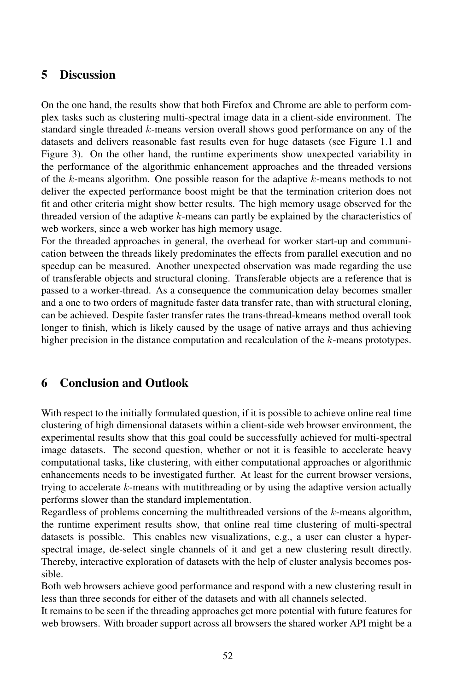### 5 Discussion

On the one hand, the results show that both Firefox and Chrome are able to perform complex tasks such as clustering multi-spectral image data in a client-side environment. The standard single threaded k-means version overall shows good performance on any of the datasets and delivers reasonable fast results even for huge datasets (see Figure 1.1 and Figure 3). On the other hand, the runtime experiments show unexpected variability in the performance of the algorithmic enhancement approaches and the threaded versions of the  $k$ -means algorithm. One possible reason for the adaptive  $k$ -means methods to not deliver the expected performance boost might be that the termination criterion does not fit and other criteria might show better results. The high memory usage observed for the threaded version of the adaptive k-means can partly be explained by the characteristics of web workers, since a web worker has high memory usage.

For the threaded approaches in general, the overhead for worker start-up and communication between the threads likely predominates the effects from parallel execution and no speedup can be measured. Another unexpected observation was made regarding the use of transferable objects and structural cloning. Transferable objects are a reference that is passed to a worker-thread. As a consequence the communication delay becomes smaller and a one to two orders of magnitude faster data transfer rate, than with structural cloning, can be achieved. Despite faster transfer rates the trans-thread-kmeans method overall took longer to finish, which is likely caused by the usage of native arrays and thus achieving higher precision in the distance computation and recalculation of the k-means prototypes.

### 6 Conclusion and Outlook

With respect to the initially formulated question, if it is possible to achieve online real time clustering of high dimensional datasets within a client-side web browser environment, the experimental results show that this goal could be successfully achieved for multi-spectral image datasets. The second question, whether or not it is feasible to accelerate heavy computational tasks, like clustering, with either computational approaches or algorithmic enhancements needs to be investigated further. At least for the current browser versions, trying to accelerate k-means with mutithreading or by using the adaptive version actually performs slower than the standard implementation.

Regardless of problems concerning the multithreaded versions of the k-means algorithm, the runtime experiment results show, that online real time clustering of multi-spectral datasets is possible. This enables new visualizations, e.g., a user can cluster a hyperspectral image, de-select single channels of it and get a new clustering result directly. Thereby, interactive exploration of datasets with the help of cluster analysis becomes possible.

Both web browsers achieve good performance and respond with a new clustering result in less than three seconds for either of the datasets and with all channels selected.

It remains to be seen if the threading approaches get more potential with future features for web browsers. With broader support across all browsers the shared worker API might be a